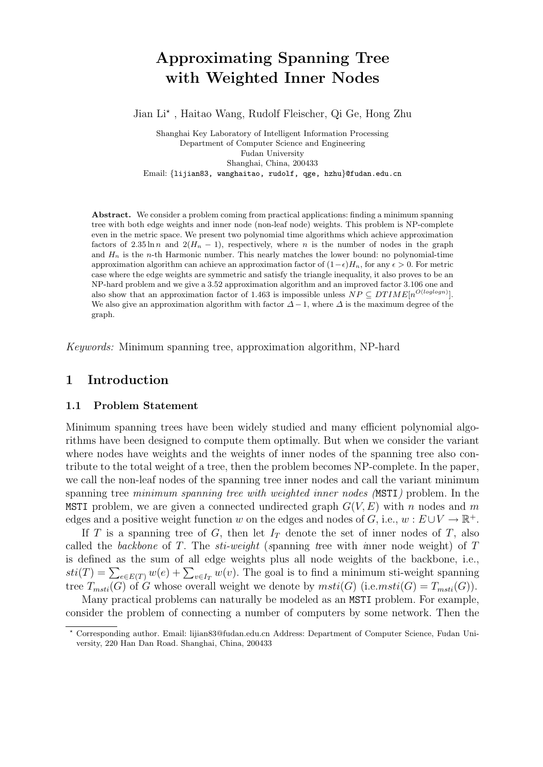# Approximating Spanning Tree with Weighted Inner Nodes

Jian Li? , Haitao Wang, Rudolf Fleischer, Qi Ge, Hong Zhu

Shanghai Key Laboratory of Intelligent Information Processing Department of Computer Science and Engineering Fudan University Shanghai, China, 200433 Email: {lijian83, wanghaitao, rudolf, qge, hzhu}@fudan.edu.cn

Abstract. We consider a problem coming from practical applications: finding a minimum spanning tree with both edge weights and inner node (non-leaf node) weights. This problem is NP-complete even in the metric space. We present two polynomial time algorithms which achieve approximation factors of  $2.35 \ln n$  and  $2(H_n - 1)$ , respectively, where n is the number of nodes in the graph and  $H_n$  is the n-th Harmonic number. This nearly matches the lower bound: no polynomial-time approximation algorithm can achieve an approximation factor of  $(1-\epsilon)H_n$ , for any  $\epsilon > 0$ . For metric case where the edge weights are symmetric and satisfy the triangle inequality, it also proves to be an NP-hard problem and we give a 3.52 approximation algorithm and an improved factor 3.106 one and also show that an approximation factor of 1.463 is impossible unless  $NP \subseteq DTIME[n^{O(loglog n)}].$ We also give an approximation algorithm with factor  $\Delta - 1$ , where  $\Delta$  is the maximum degree of the graph.

Keywords: Minimum spanning tree, approximation algorithm, NP-hard

# 1 Introduction

#### 1.1 Problem Statement

Minimum spanning trees have been widely studied and many efficient polynomial algorithms have been designed to compute them optimally. But when we consider the variant where nodes have weights and the weights of inner nodes of the spanning tree also contribute to the total weight of a tree, then the problem becomes NP-complete. In the paper, we call the non-leaf nodes of the spanning tree inner nodes and call the variant minimum spanning tree *minimum spanning tree with weighted inner nodes* (MSTI) problem. In the MSTI problem, we are given a connected undirected graph  $G(V, E)$  with n nodes and m edges and a positive weight function w on the edges and nodes of G, i.e.,  $w : E \cup V \to \mathbb{R}^+$ .

If T is a spanning tree of G, then let  $I_T$  denote the set of inner nodes of T, also called the backbone of T. The  $sti-weight$  (spanning tree with inner node weight) of  $T$ is defined as the sum of all edge weights plus all node weights of the backbone, i.e., is defined as the sum of an edge weights plus an node weights of the backbone, i.e.,<br>  $sti(T) = \sum_{e \in E(T)} w(e) + \sum_{v \in I_T} w(v)$ . The goal is to find a minimum sti-weight spanning tree  $T_{msti}(G)$  of G whose overall weight we denote by  $msti(G)$  (i.e.msti(G) =  $T_{msti}(G)$ ).

Many practical problems can naturally be modeled as an MSTI problem. For example, consider the problem of connecting a number of computers by some network. Then the

<sup>?</sup> Corresponding author. Email: lijian83@fudan.edu.cn Address: Department of Computer Science, Fudan University, 220 Han Dan Road. Shanghai, China, 200433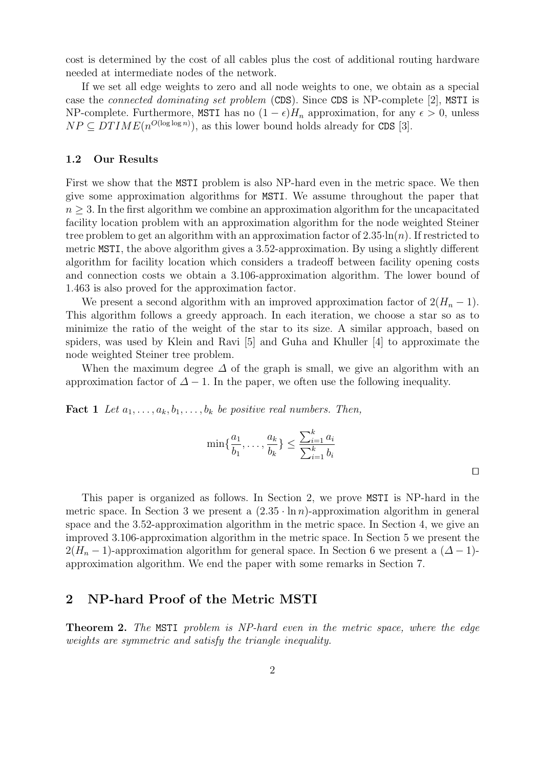cost is determined by the cost of all cables plus the cost of additional routing hardware needed at intermediate nodes of the network.

If we set all edge weights to zero and all node weights to one, we obtain as a special case the connected dominating set problem (CDS). Since CDS is NP-complete [2], MSTI is NP-complete. Furthermore, MSTI has no  $(1 - \epsilon)H_n$  approximation, for any  $\epsilon > 0$ , unless  $NP \subseteq DTIME(n^{O(\log \log n)})$ , as this lower bound holds already for CDS [3].

#### 1.2 Our Results

First we show that the MSTI problem is also NP-hard even in the metric space. We then give some approximation algorithms for MSTI. We assume throughout the paper that  $n \geq 3$ . In the first algorithm we combine an approximation algorithm for the uncapacitated facility location problem with an approximation algorithm for the node weighted Steiner tree problem to get an algorithm with an approximation factor of  $2.35 \cdot \ln(n)$ . If restricted to metric MSTI, the above algorithm gives a 3.52-approximation. By using a slightly different algorithm for facility location which considers a tradeoff between facility opening costs and connection costs we obtain a 3.106-approximation algorithm. The lower bound of 1.463 is also proved for the approximation factor.

We present a second algorithm with an improved approximation factor of  $2(H_n - 1)$ . This algorithm follows a greedy approach. In each iteration, we choose a star so as to minimize the ratio of the weight of the star to its size. A similar approach, based on spiders, was used by Klein and Ravi [5] and Guha and Khuller [4] to approximate the node weighted Steiner tree problem.

When the maximum degree  $\Delta$  of the graph is small, we give an algorithm with an approximation factor of  $\Delta - 1$ . In the paper, we often use the following inequality.

**Fact 1** Let  $a_1, \ldots, a_k, b_1, \ldots, b_k$  be positive real numbers. Then,

$$
\min\{\frac{a_1}{b_1}, \dots, \frac{a_k}{b_k}\} \le \frac{\sum_{i=1}^k a_i}{\sum_{i=1}^k b_i}
$$

This paper is organized as follows. In Section 2, we prove MSTI is NP-hard in the metric space. In Section 3 we present a  $(2.35 \cdot \ln n)$ -approximation algorithm in general space and the 3.52-approximation algorithm in the metric space. In Section 4, we give an improved 3.106-approximation algorithm in the metric space. In Section 5 we present the  $2(H_n-1)$ -approximation algorithm for general space. In Section 6 we present a  $(\Delta - 1)$ approximation algorithm. We end the paper with some remarks in Section 7.

# 2 NP-hard Proof of the Metric MSTI

**Theorem 2.** The MSTI problem is NP-hard even in the metric space, where the edge weights are symmetric and satisfy the triangle inequality.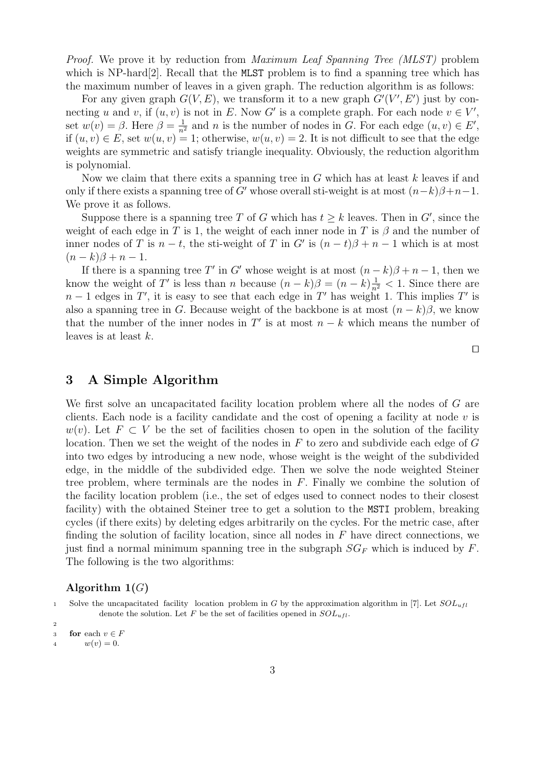Proof. We prove it by reduction from Maximum Leaf Spanning Tree (MLST) problem which is NP-hard<sup>[2]</sup>. Recall that the MLST problem is to find a spanning tree which has the maximum number of leaves in a given graph. The reduction algorithm is as follows:

For any given graph  $G(V, E)$ , we transform it to a new graph  $G'(V', E')$  just by connecting u and v, if  $(u, v)$  is not in E. Now G' is a complete graph. For each node  $v \in V'$ , set  $w(v) = \beta$ . Here  $\beta = \frac{1}{n^2}$  and n is the number of nodes in G. For each edge  $(u, v) \in E'$ , if  $(u, v) \in E$ , set  $w(u, v) = 1$ ; otherwise,  $w(u, v) = 2$ . It is not difficult to see that the edge weights are symmetric and satisfy triangle inequality. Obviously, the reduction algorithm is polynomial.

Now we claim that there exits a spanning tree in  $G$  which has at least  $k$  leaves if and only if there exists a spanning tree of G' whose overall sti-weight is at most  $(n-k)\beta+n-1$ . We prove it as follows.

Suppose there is a spanning tree T of G which has  $t \geq k$  leaves. Then in G', since the weight of each edge in T is 1, the weight of each inner node in T is  $\beta$  and the number of inner nodes of T is  $n - t$ , the sti-weight of T in G' is  $(n - t)\beta + n - 1$  which is at most  $(n - k)\beta + n - 1.$ 

If there is a spanning tree T' in G' whose weight is at most  $(n-k)\beta + n-1$ , then we know the weight of T' is less than n because  $(n-k)\beta = (n-k)\frac{1}{n^2} < 1$ . Since there are  $n-1$  edges in T', it is easy to see that each edge in T' has weight 1. This implies T' is also a spanning tree in G. Because weight of the backbone is at most  $(n - k)\beta$ , we know that the number of the inner nodes in  $T'$  is at most  $n - k$  which means the number of leaves is at least k.

 $\Box$ 

### 3 A Simple Algorithm

We first solve an uncapacitated facility location problem where all the nodes of G are clients. Each node is a facility candidate and the cost of opening a facility at node  $v$  is  $w(v)$ . Let  $F \subset V$  be the set of facilities chosen to open in the solution of the facility location. Then we set the weight of the nodes in  $F$  to zero and subdivide each edge of  $G$ into two edges by introducing a new node, whose weight is the weight of the subdivided edge, in the middle of the subdivided edge. Then we solve the node weighted Steiner tree problem, where terminals are the nodes in  $F$ . Finally we combine the solution of the facility location problem (i.e., the set of edges used to connect nodes to their closest facility) with the obtained Steiner tree to get a solution to the MSTI problem, breaking cycles (if there exits) by deleting edges arbitrarily on the cycles. For the metric case, after finding the solution of facility location, since all nodes in  $F$  have direct connections, we just find a normal minimum spanning tree in the subgraph  $SG_F$  which is induced by F. The following is the two algorithms:

#### Algorithm  $1(G)$

1 Solve the uncapacitated facility location problem in G by the approximation algorithm in [7]. Let  $SOL<sub>ufl</sub>$ denote the solution. Let F be the set of facilities opened in  $SOL_{ufl}$ .

2

<sup>3</sup> for each  $v \in F$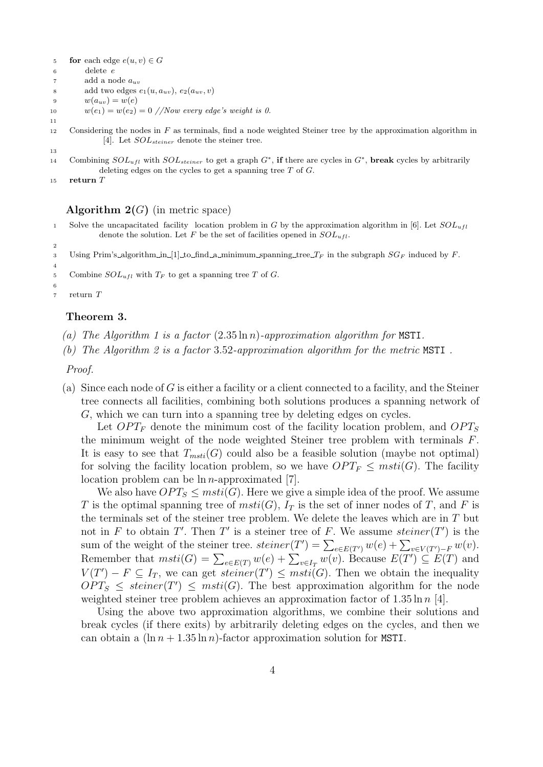- 5 **for** each edge  $e(u, v) \in G$
- <sup>6</sup> delete e
- $7\qquad\qquad$ add a node $a_{uv}$

```
8 add two edges e_1(u, a_{uv}), e_2(a_{uv}, v)
```
- 9  $w(a_{uv}) = w(e)$
- 10  $w(e_1) = w(e_2) = 0 \text{ //} Now every edge's weight is 0.$

<sup>12</sup> Considering the nodes in F as terminals, find a node weighted Steiner tree by the approximation algorithm in [4]. Let  $SOL_{steiner}$  denote the steiner tree.

14 Combining  $SOL_{ufl}$  with  $SOL_{steiner}$  to get a graph  $G^*$ , if there are cycles in  $G^*$ , break cycles by arbitrarily deleting edges on the cycles to get a spanning tree  $T$  of  $G$ .

```
15 return T
```
11

13

2

4

#### **Algorithm 2(G)** (in metric space)

- 1 Solve the uncapacitated facility location problem in G by the approximation algorithm in [6]. Let  $SOL_{ufl}$ denote the solution. Let F be the set of facilities opened in  $SOL_{ufl}$ .
- 3 Using Prim's algorithm in [1] to find a minimum spanning tree  $T_F$  in the subgraph  $SG_F$  induced by F.
- 5 Combine  $SOL_{uff}$  with  $T_F$  to get a spanning tree T of G.

6 <sup>7</sup> return T

#### Theorem 3.

- (a) The Algorithm 1 is a factor  $(2.35 \ln n)$ -approximation algorithm for MSTI.
- (b) The Algorithm 2 is a factor 3.52-approximation algorithm for the metric MSTI .

Proof.

(a) Since each node of G is either a facility or a client connected to a facility, and the Steiner tree connects all facilities, combining both solutions produces a spanning network of G, which we can turn into a spanning tree by deleting edges on cycles.

Let  $OPT_F$  denote the minimum cost of the facility location problem, and  $OPT_S$ the minimum weight of the node weighted Steiner tree problem with terminals F. It is easy to see that  $T_{msti}(G)$  could also be a feasible solution (maybe not optimal) for solving the facility location problem, so we have  $OPT_F \leq msti(G)$ . The facility location problem can be  $\ln n$ -approximated [7].

We also have  $OPT_S \leq msti(G)$ . Here we give a simple idea of the proof. We assume T is the optimal spanning tree of  $msti(G)$ ,  $I<sub>T</sub>$  is the set of inner nodes of T, and F is the terminals set of the steiner tree problem. We delete the leaves which are in  $T$  but not in F to obtain T'. Then T' is a steiner tree of F. We assume steiner  $(T')$  is the sum of the weight of the steiner tree.  $steiner(T') = \sum_{e \in E(T')} w(e) + \sum_{v \in V(T')-F} w(v)$ . Sum of the weight of the steller tree. *steller*  $(T) = \sum_{e \in E(T)} w(e) + \sum_{v \in I_T} w(v)$ . Because  $E(T') \subseteq E(T)$  and Remember that  $msti(G) = \sum_{e \in E(T)} w(e) + \sum_{v \in I_T} w(v)$ . Because  $E(T') \subseteq E(T)$  and  $V(T') - F \subseteq I_T$ , we can get steiner $(T') \leq msti(G)$ . Then we obtain the inequality  $OPT_S \leq steiner(T') \leq msti(G)$ . The best approximation algorithm for the node weighted steiner tree problem achieves an approximation factor of  $1.35 \ln n$  [4].

Using the above two approximation algorithms, we combine their solutions and break cycles (if there exits) by arbitrarily deleting edges on the cycles, and then we can obtain a  $(\ln n + 1.35 \ln n)$ -factor approximation solution for MSTI.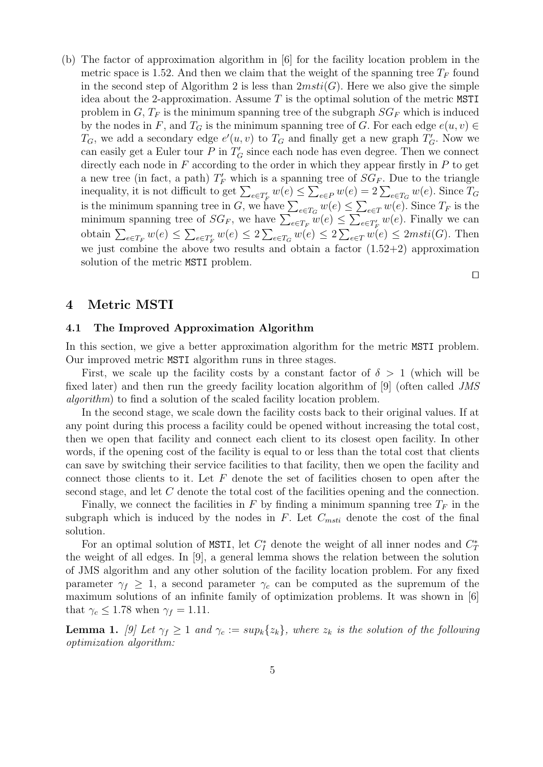(b) The factor of approximation algorithm in [6] for the facility location problem in the metric space is 1.52. And then we claim that the weight of the spanning tree  $T_F$  found in the second step of Algorithm 2 is less than  $2msti(G)$ . Here we also give the simple idea about the 2-approximation. Assume  $T$  is the optimal solution of the metric MSTI problem in G,  $T_F$  is the minimum spanning tree of the subgraph  $SG_F$  which is induced by the nodes in F, and  $T_G$  is the minimum spanning tree of G. For each edge  $e(u, v) \in$  $T_G$ , we add a secondary edge  $e'(u, v)$  to  $T_G$  and finally get a new graph  $T'_G$ . Now we can easily get a Euler tour  $P$  in  $T_G$  since each node has even degree. Then we connect directly each node in  $F$  according to the order in which they appear firstly in  $P$  to get a new tree (in fact, a path)  $T_F'$  which is a spanning tree of  $SG_F$ . Due to the triangle a new tree (in fact, a path)  $I_F$  which is a spanning tree of  $S G_F$ . Due to the triangle<br>inequality, it is not difficult to get  $\sum_{e \in T_F} w(e) \leq \sum_{e \in P} w(e) = 2 \sum_{e \in T_G} w(e)$ . Since  $T_G$ <br>is the minimum spanning tree in G, we  $\overline{\phantom{a}}$  $\leq \sum_{e \in T} w(e)$ . Since  $T_F$  is the is the minimum spanning tree in G, we have  $\sum_{e \in T_G} w(e) \leq \sum_{e \in T'_F} w(e)$ . Since  $I_F$  is the minimum spanning tree of  $SG_F$ , we have  $\sum_{e \in T_F} w(e) \leq \sum_{e \in T'_F} w(e)$ . Finally we can obtain  $\sum_{e \in T_F} w(e) \leq \sum_{e \in T'_F} w(e) \leq 2 \sum_{e \in T_G} w(e) \leq 2 \sum_{e \in T} w(e) \leq 2 msti(G)$ . Then we just combine the above two results and obtain a factor  $(1.52+2)$  approximation solution of the metric MSTI problem.

 $\Box$ 

# 4 Metric MSTI

#### 4.1 The Improved Approximation Algorithm

In this section, we give a better approximation algorithm for the metric MSTI problem. Our improved metric MSTI algorithm runs in three stages.

First, we scale up the facility costs by a constant factor of  $\delta > 1$  (which will be fixed later) and then run the greedy facility location algorithm of [9] (often called JMS algorithm) to find a solution of the scaled facility location problem.

In the second stage, we scale down the facility costs back to their original values. If at any point during this process a facility could be opened without increasing the total cost, then we open that facility and connect each client to its closest open facility. In other words, if the opening cost of the facility is equal to or less than the total cost that clients can save by switching their service facilities to that facility, then we open the facility and connect those clients to it. Let  $F$  denote the set of facilities chosen to open after the second stage, and let C denote the total cost of the facilities opening and the connection.

Finally, we connect the facilities in F by finding a minimum spanning tree  $T_F$  in the subgraph which is induced by the nodes in  $F$ . Let  $C_{msti}$  denote the cost of the final solution.

For an optimal solution of MSTI, let  $C_I^*$  denote the weight of all inner nodes and  $C_I^*$ the weight of all edges. In [9], a general lemma shows the relation between the solution of JMS algorithm and any other solution of the facility location problem. For any fixed parameter  $\gamma_f \geq 1$ , a second parameter  $\gamma_c$  can be computed as the supremum of the maximum solutions of an infinite family of optimization problems. It was shown in [6] that  $\gamma_c \leq 1.78$  when  $\gamma_f = 1.11$ .

**Lemma 1.** [9] Let  $\gamma_f \geq 1$  and  $\gamma_c := sup_k\{z_k\}$ , where  $z_k$  is the solution of the following optimization algorithm: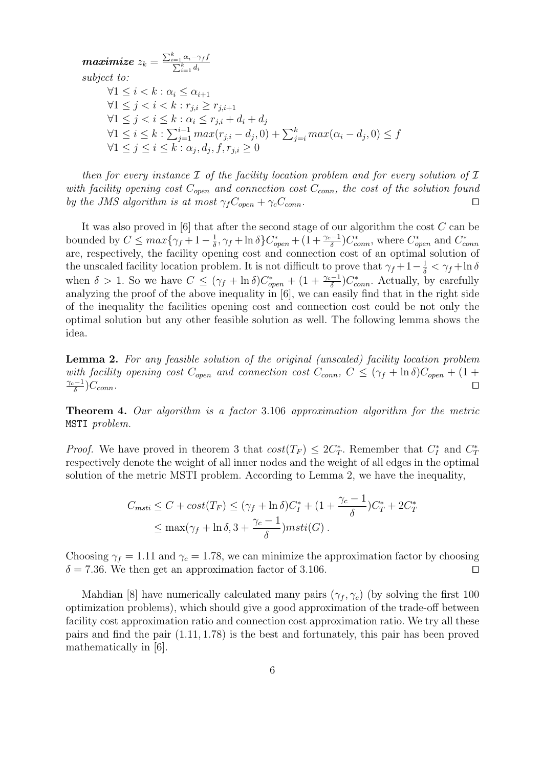$\emph{maximize $\mathit{z}_{k} = $}$  $\frac{\sum_{i=1}^{k} \alpha_i - \gamma_f f}{\sum_{i=1}^{k} d_i}$ subject to:  $\forall 1 \leq i < k : \alpha_i \leq \alpha_{i+1}$  $∀1 \leq j < i < k : r_{i,i} \geq r_{i,i+1}$  $\forall 1 \leq j < i \leq k : \alpha_i \leq r_{j,i} + d_i + d_j$  $\forall 1 \leq j \leq k \leq k$ .  $\sum_{j=1}^{i-1} max(r_{j,i} - d_j, 0) + \sum_{j=i}^{k} max(\alpha_i - d_j, 0) ≤ f$  $\forall 1 \leq j \leq i \leq k : \alpha_j, d_j, f, r_{j,i} \geq 0$ 

then for every instance  $\mathcal I$  of the facility location problem and for every solution of  $\mathcal I$ with facility opening cost  $C_{open}$  and connection cost  $C_{conn}$ , the cost of the solution found by the JMS algorithm is at most  $\gamma_f C_{open} + \gamma_c C_{conn}$ .

It was also proved in  $[6]$  that after the second stage of our algorithm the cost  $C$  can be bounded by  $C \leq max\{\gamma_f + 1 - \frac{1}{\delta}\}$  $\frac{1}{\delta}$ ,  $\gamma_f$  + ln  $\delta$ } $C^*_{open}$  + (1 +  $\frac{\gamma_c-1}{\delta}$ ) $C^*_{conn}$ , where  $C^*_{open}$  and  $C^*_{conn}$ are, respectively, the facility opening cost and connection cost of an optimal solution of the unscaled facility location problem. It is not difficult to prove that  $\gamma_f + 1 - \frac{1}{\delta} < \gamma_f + \ln \delta$ when  $\delta > 1$ . So we have  $C \le (\gamma_f + \ln \delta)C^*_{open} + (1 + \frac{\gamma_c - 1}{\delta})C^*_{conn}$ . Actually, by carefully analyzing the proof of the above inequality in [6], we can easily find that in the right side of the inequality the facilities opening cost and connection cost could be not only the optimal solution but any other feasible solution as well. The following lemma shows the idea.

Lemma 2. For any feasible solution of the original (unscaled) facility location problem with facility opening cost  $C_{open}$  and connection cost  $C_{conn}$ ,  $C \leq (\gamma_f + \ln \delta)C_{open} + (1 +$  $\gamma_c-1$ δ  $)C_{conn}$ .

Theorem 4. Our algorithm is a factor 3.106 approximation algorithm for the metric MSTI problem.

*Proof.* We have proved in theorem 3 that  $cost(T_F) \leq 2C_T^*$ . Remember that  $C_I^*$  and  $C_T^*$ respectively denote the weight of all inner nodes and the weight of all edges in the optimal solution of the metric MSTI problem. According to Lemma 2, we have the inequality,

$$
C_{msti} \leq C + \cos t(T_F) \leq (\gamma_f + \ln \delta)C_I^* + (1 + \frac{\gamma_c - 1}{\delta})C_T^* + 2C_T^*
$$
  

$$
\leq \max(\gamma_f + \ln \delta, 3 + \frac{\gamma_c - 1}{\delta})msti(G).
$$

Choosing  $\gamma_f = 1.11$  and  $\gamma_c = 1.78$ , we can minimize the approximation factor by choosing  $\delta = 7.36$ . We then get an approximation factor of 3.106.

Mahdian [8] have numerically calculated many pairs  $(\gamma_f, \gamma_c)$  (by solving the first 100 optimization problems), which should give a good approximation of the trade-off between facility cost approximation ratio and connection cost approximation ratio. We try all these pairs and find the pair (1.11, 1.78) is the best and fortunately, this pair has been proved mathematically in [6].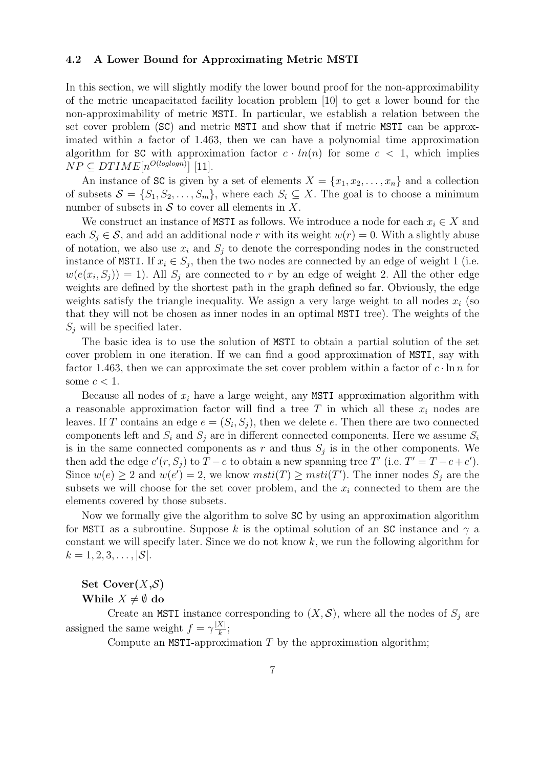#### 4.2 A Lower Bound for Approximating Metric MSTI

In this section, we will slightly modify the lower bound proof for the non-approximability of the metric uncapacitated facility location problem [10] to get a lower bound for the non-approximability of metric MSTI. In particular, we establish a relation between the set cover problem (SC) and metric MSTI and show that if metric MSTI can be approximated within a factor of 1.463, then we can have a polynomial time approximation algorithm for SC with approximation factor  $c \cdot ln(n)$  for some  $c < 1$ , which implies  $NP \subseteq DTIME[n^{O(loglog n)}]$  [11].

An instance of SC is given by a set of elements  $X = \{x_1, x_2, \ldots, x_n\}$  and a collection of subsets  $S = \{S_1, S_2, \ldots, S_m\}$ , where each  $S_i \subseteq X$ . The goal is to choose a minimum number of subsets in  $S$  to cover all elements in X.

We construct an instance of MSTI as follows. We introduce a node for each  $x_i \in X$  and each  $S_i \in \mathcal{S}$ , and add an additional node r with its weight  $w(r) = 0$ . With a slightly abuse of notation, we also use  $x_i$  and  $S_j$  to denote the corresponding nodes in the constructed instance of MSTI. If  $x_i \in S_j$ , then the two nodes are connected by an edge of weight 1 (i.e.  $w(e(x_i, S_j)) = 1$ . All  $S_j$  are connected to r by an edge of weight 2. All the other edge weights are defined by the shortest path in the graph defined so far. Obviously, the edge weights satisfy the triangle inequality. We assign a very large weight to all nodes  $x_i$  (so that they will not be chosen as inner nodes in an optimal MSTI tree). The weights of the  $S_j$  will be specified later.

The basic idea is to use the solution of MSTI to obtain a partial solution of the set cover problem in one iteration. If we can find a good approximation of MSTI, say with factor 1.463, then we can approximate the set cover problem within a factor of  $c \cdot \ln n$  for some  $c < 1$ .

Because all nodes of  $x_i$  have a large weight, any MSTI approximation algorithm with a reasonable approximation factor will find a tree T in which all these  $x_i$  nodes are leaves. If T contains an edge  $e = (S_i, S_j)$ , then we delete e. Then there are two connected components left and  $S_i$  and  $S_j$  are in different connected components. Here we assume  $S_i$ is in the same connected components as r and thus  $S_j$  is in the other components. We then add the edge  $e'(r, S_j)$  to  $T - e$  to obtain a new spanning tree T' (i.e.  $T' = T - e + e'$ ). Since  $w(e) \ge 2$  and  $w(e') = 2$ , we know  $msti(T) \ge msti(T')$ . The inner nodes  $S_j$  are the subsets we will choose for the set cover problem, and the  $x_i$  connected to them are the elements covered by those subsets.

Now we formally give the algorithm to solve SC by using an approximation algorithm for MSTI as a subroutine. Suppose k is the optimal solution of an SC instance and  $\gamma$  a constant we will specify later. Since we do not know  $k$ , we run the following algorithm for  $k = 1, 2, 3, \ldots, |\mathcal{S}|.$ 

# Set  $\text{Cover}(X, \mathcal{S})$ While  $X \neq \emptyset$  do

Create an MSTI instance corresponding to  $(X, S)$ , where all the nodes of  $S_i$  are assigned the same weight  $f = \gamma \frac{|X|}{k}$  $\frac{x_1}{k};$ 

Compute an MSTI-approximation  $T$  by the approximation algorithm;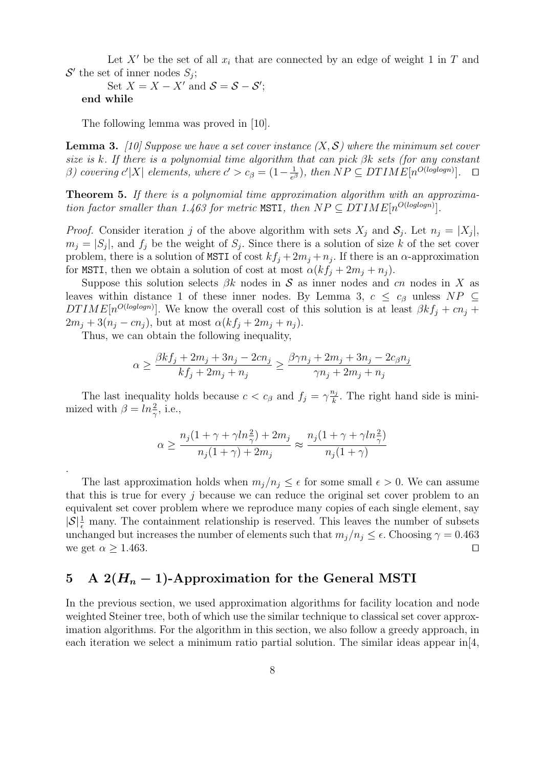Let X' be the set of all  $x_i$  that are connected by an edge of weight 1 in T and  $\mathcal{S}'$  the set of inner nodes  $S_j$ ;

Set  $X = X - X'$  and  $S = S - S'$ ; end while

The following lemma was proved in [10].

**Lemma 3.** [10] Suppose we have a set cover instance  $(X, \mathcal{S})$  where the minimum set cover size is k. If there is a polynomial time algorithm that can pick  $\beta k$  sets (for any constant β) covering  $c'|X|$  elements, where  $c' > c<sub>β</sub> = (1 - \frac{1}{e<sub>β</sub>}$  $\frac{1}{e^{\beta}}$ , then  $NP \subseteq DTIME[n^{O(loglog n)}]$ .  $\Box$ 

Theorem 5. If there is a polynomial time approximation algorithm with an approximation factor smaller than 1.463 for metric MSTI, then  $NP \subseteq DTIME[n^{O(loglog n)}].$ 

*Proof.* Consider iteration j of the above algorithm with sets  $X_j$  and  $S_j$ . Let  $n_j = |X_j|$ ,  $m_j = |S_j|$ , and  $f_j$  be the weight of  $S_j$ . Since there is a solution of size k of the set cover problem, there is a solution of MSTI of cost  $kf_j + 2m_j + n_j$ . If there is an  $\alpha$ -approximation for MSTI, then we obtain a solution of cost at most  $\alpha(kf_i + 2m_i + n_i)$ .

Suppose this solution selects  $\beta k$  nodes in S as inner nodes and cn nodes in X as leaves within distance 1 of these inner nodes. By Lemma 3,  $c \leq c_{\beta}$  unless  $NP \subseteq$ DTIME $[n^{O(loglog n)}]$ . We know the overall cost of this solution is at least  $\beta k f_j + c n_j +$  $2m_j + 3(n_j - cn_j)$ , but at most  $\alpha(kf_j + 2m_j + n_j)$ .

Thus, we can obtain the following inequality,

.

$$
\alpha \geq \frac{\beta k f_j + 2 m_j + 3 n_j - 2 c n_j}{k f_j + 2 m_j + n_j} \geq \frac{\beta \gamma n_j + 2 m_j + 3 n_j - 2 c_\beta n_j}{\gamma n_j + 2 m_j + n_j}
$$

The last inequality holds because  $c < c_{\beta}$  and  $f_j = \gamma \frac{n_j}{k}$  $\frac{n_j}{k}$ . The right hand side is minimized with  $\beta = \ln \frac{2}{\gamma}$ , i.e.,

$$
\alpha \geq \frac{n_j(1+\gamma + \gamma ln_{\gamma}^2) + 2m_j}{n_j(1+\gamma) + 2m_j} \approx \frac{n_j(1+\gamma + \gamma ln_{\gamma}^2)}{n_j(1+\gamma)}
$$

The last approximation holds when  $m_j/n_j \leq \epsilon$  for some small  $\epsilon > 0$ . We can assume that this is true for every  $i$  because we can reduce the original set cover problem to an equivalent set cover problem where we reproduce many copies of each single element, say  $|\mathcal{S}| \frac{1}{\epsilon}$  many. The containment relationship is reserved. This leaves the number of subsets unchanged but increases the number of elements such that  $m_j/n_j \leq \epsilon$ . Choosing  $\gamma = 0.463$ we get  $\alpha \geq 1.463$ .

# 5 A  $2(H_n - 1)$ -Approximation for the General MSTI

In the previous section, we used approximation algorithms for facility location and node weighted Steiner tree, both of which use the similar technique to classical set cover approximation algorithms. For the algorithm in this section, we also follow a greedy approach, in each iteration we select a minimum ratio partial solution. The similar ideas appear in[4,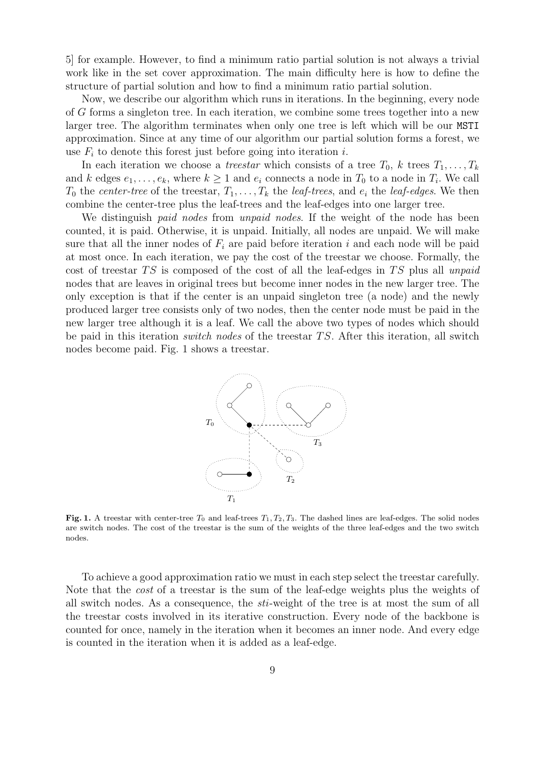5] for example. However, to find a minimum ratio partial solution is not always a trivial work like in the set cover approximation. The main difficulty here is how to define the structure of partial solution and how to find a minimum ratio partial solution.

Now, we describe our algorithm which runs in iterations. In the beginning, every node of G forms a singleton tree. In each iteration, we combine some trees together into a new larger tree. The algorithm terminates when only one tree is left which will be our MSTI approximation. Since at any time of our algorithm our partial solution forms a forest, we use  $F_i$  to denote this forest just before going into iteration i.

In each iteration we choose a *treestar* which consists of a tree  $T_0$ , k trees  $T_1, \ldots, T_k$ and k edges  $e_1, \ldots, e_k$ , where  $k \geq 1$  and  $e_i$  connects a node in  $T_0$  to a node in  $T_i$ . We call  $T_0$  the center-tree of the treestar,  $T_1, \ldots, T_k$  the leaf-trees, and  $e_i$  the leaf-edges. We then combine the center-tree plus the leaf-trees and the leaf-edges into one larger tree.

We distinguish *paid nodes* from *unpaid nodes*. If the weight of the node has been counted, it is paid. Otherwise, it is unpaid. Initially, all nodes are unpaid. We will make sure that all the inner nodes of  $F_i$  are paid before iteration i and each node will be paid at most once. In each iteration, we pay the cost of the treestar we choose. Formally, the cost of treestar  $TS$  is composed of the cost of all the leaf-edges in  $TS$  plus all unpaid nodes that are leaves in original trees but become inner nodes in the new larger tree. The only exception is that if the center is an unpaid singleton tree (a node) and the newly produced larger tree consists only of two nodes, then the center node must be paid in the new larger tree although it is a leaf. We call the above two types of nodes which should be paid in this iteration *switch nodes* of the treestar  $TS$ . After this iteration, all switch nodes become paid. Fig. 1 shows a treestar.



Fig. 1. A treestar with center-tree  $T_0$  and leaf-trees  $T_1, T_2, T_3$ . The dashed lines are leaf-edges. The solid nodes are switch nodes. The cost of the treestar is the sum of the weights of the three leaf-edges and the two switch nodes.

To achieve a good approximation ratio we must in each step select the treestar carefully. Note that the cost of a treestar is the sum of the leaf-edge weights plus the weights of all switch nodes. As a consequence, the sti-weight of the tree is at most the sum of all the treestar costs involved in its iterative construction. Every node of the backbone is counted for once, namely in the iteration when it becomes an inner node. And every edge is counted in the iteration when it is added as a leaf-edge.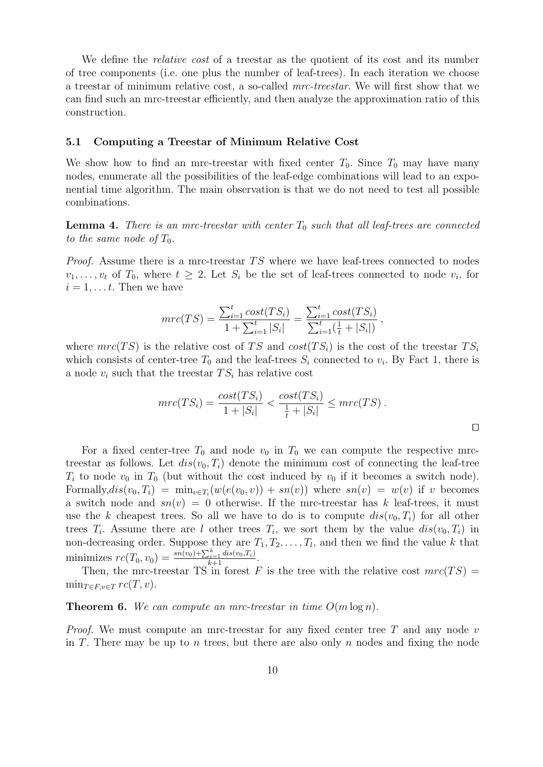We define the *relative cost* of a treestar as the quotient of its cost and its number of tree components (i.e. one plus the number of leaf-trees). In each iteration we choose a treestar of minimum relative cost, a so-called mrc-treestar. We will first show that we can find such an mrc-treestar efficiently, and then analyze the approximation ratio of this construction.

#### 5.1 Computing a Treestar of Minimum Relative Cost

We show how to find an mrc-treestar with fixed center  $T_0$ . Since  $T_0$  may have many nodes, enumerate all the possibilities of the leaf-edge combinations will lead to an exponential time algorithm. The main observation is that we do not need to test all possible combinations.

**Lemma 4.** There is an mrc-treestar with center  $T_0$  such that all leaf-trees are connected to the same node of  $T_0$ .

*Proof.* Assume there is a mrc-treestar  $TS$  where we have leaf-trees connected to nodes  $v_1, \ldots, v_t$  of  $T_0$ , where  $t \geq 2$ . Let  $S_i$  be the set of leaf-trees connected to node  $v_i$ , for  $i = 1, \ldots t$ . Then we have

$$
mrc(TS) = \frac{\sum_{i=1}^{t} cost(TS_i)}{1 + \sum_{i=1}^{t} |S_i|} = \frac{\sum_{i=1}^{t} cost(TS_i)}{\sum_{i=1}^{t} (\frac{1}{t} + |S_i|)},
$$

where  $mrc(TS)$  is the relative cost of TS and  $cost(TS_i)$  is the cost of the treestar  $TS_i$ which consists of center-tree  $T_0$  and the leaf-trees  $S_i$  connected to  $v_i$ . By Fact 1, there is a node  $v_i$  such that the treestar  $TS_i$  has relative cost

$$
mrc(TS_i) = \frac{cost(TS_i)}{1+|S_i|} < \frac{cost(TS_i)}{\frac{1}{t}+|S_i|} \leq mrc(TS) \, .
$$

For a fixed center-tree  $T_0$  and node  $v_0$  in  $T_0$  we can compute the respective mrctreestar as follows. Let  $dis(v_0, T_i)$  denote the minimum cost of connecting the leaf-tree  $T_i$  to node  $v_0$  in  $T_0$  (but without the cost induced by  $v_0$  if it becomes a switch node). Formally, $dis(v_0, T_i) = \min_{v \in T_i}(w(e(v_0, v)) + sn(v))$  where  $sn(v) = w(v)$  if v becomes a switch node and  $sn(v) = 0$  otherwise. If the mrc-treestar has k leaf-trees, it must use the k cheapest trees. So all we have to do is to compute  $dis(v_0, T_i)$  for all other trees  $T_i$ . Assume there are l other trees  $T_i$ , we sort them by the value  $dis(v_0, T_i)$  in non-decreasing order. Suppose they are  $T_1, T_2, \ldots, T_l$ , and then we find the value k that minimizes  $rc(T_0, v_0) = \frac{sn(v_0) + \sum_{i=1}^{k} dis(v_0, T_i)}{k+1}$ .

Then, the mrc-treestar TS in forest F is the tree with the relative cost  $mrc(TS)$  =  $\min_{T \in F, v \in T} rc(T, v).$ 

**Theorem 6.** We can compute an mrc-treestar in time  $O(m \log n)$ .

*Proof.* We must compute an mrc-treestar for any fixed center tree T and any node  $v$ in T. There may be up to n trees, but there are also only n nodes and fixing the node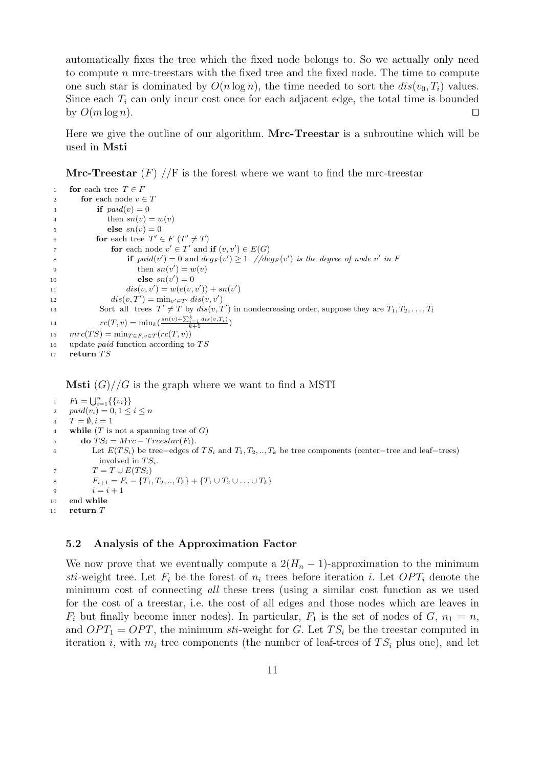automatically fixes the tree which the fixed node belongs to. So we actually only need to compute  $n$  mrc-treestars with the fixed tree and the fixed node. The time to compute one such star is dominated by  $O(n \log n)$ , the time needed to sort the  $dis(v_0, T_i)$  values. Since each  $T_i$  can only incur cost once for each adjacent edge, the total time is bounded by  $O(m \log n)$ .

Here we give the outline of our algorithm. Mrc-Treestar is a subroutine which will be used in Msti

**Mrc-Treestar**  $(F)$  //F is the forest where we want to find the mrc-treestar

```
1 for each tree T \in F2 for each node v \in T3 if paid(v) = 04 then sn(v) = w(v)s \qquad \qquad \text{else } sn(v) = 06 for each tree T' \in F (T' \neq T)7 for each node v' \in T' and if (v, v') \in E(G)8 if paid(v') = 0 and deg_F(v') \ge 1 //deg<sub>F</sub>(v') is the degree of node v' in F
9 then sn(v') = w(v)10 else sn(v') = 011 dis(v, v') = w(e(v, v')) + sn(v')12 dis(v, T') = \min_{v' \in T'} dis(v, v')13 Sort all trees T' \neq T by dis(v, T') in nondecreasing order, suppose they are T_1, T_2, \ldots, T_l14 rc(T, v) = \min_{k} \left( \frac{sn(v) + \sum_{i=1}^{k} dis(v, T_i)}{k+1} \right)15 mc(TS) = min_{T \in F, v \in T}(rc(T, v))16 update paid function according to TS17 return TS
```
**Msti**  $(G)/G$  is the graph where we want to find a MSTI

```
1 F_1 = \bigcup_{i=1}^n \{\{v_i\}\}\2 paid(v_i) = 0, 1 \leq i \leq n3 T = \emptyset, i = 14 while (T \text{ is not a spanning tree of } G)5 do TS_i = Mrc - Treestar(F_i).
6 Let E(TS_i) be tree−edges of TS_i and T_1, T_2, ..., T_k be tree components (center−tree and leaf−trees)
             involved in TS_i.
7 T = T \cup E(TS_i)8 F_{i+1} = F_i - \{T_1, T_2, ..., T_k\} + \{T_1 \cup T_2 \cup ... \cup T_k\}9 i = i + 110 end while
11 return T
```
#### 5.2 Analysis of the Approximation Factor

We now prove that we eventually compute a  $2(H_n - 1)$ -approximation to the minimum sti-weight tree. Let  $F_i$  be the forest of  $n_i$  trees before iteration i. Let  $OPT_i$  denote the minimum cost of connecting all these trees (using a similar cost function as we used for the cost of a treestar, i.e. the cost of all edges and those nodes which are leaves in  $F_i$  but finally become inner nodes). In particular,  $F_1$  is the set of nodes of  $G$ ,  $n_1 = n$ , and  $OPT_1 = OPT$ , the minimum sti-weight for G. Let  $TS_i$  be the treestar computed in iteration i, with  $m_i$  tree components (the number of leaf-trees of  $TS_i$  plus one), and let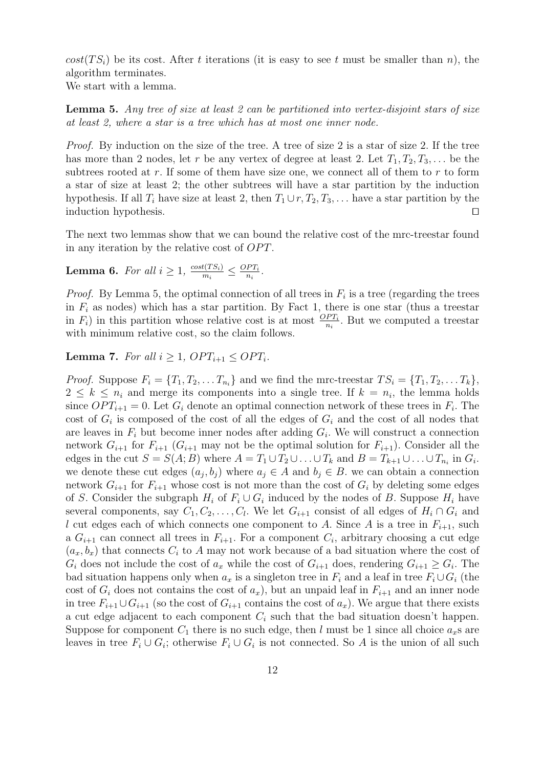$cost(TS_i)$  be its cost. After t iterations (it is easy to see t must be smaller than n), the algorithm terminates.

We start with a lemma.

**Lemma 5.** Any tree of size at least 2 can be partitioned into vertex-disjoint stars of size at least 2, where a star is a tree which has at most one inner node.

Proof. By induction on the size of the tree. A tree of size 2 is a star of size 2. If the tree has more than 2 nodes, let r be any vertex of degree at least 2. Let  $T_1, T_2, T_3, \ldots$  be the subtrees rooted at  $r$ . If some of them have size one, we connect all of them to  $r$  to form a star of size at least 2; the other subtrees will have a star partition by the induction hypothesis. If all  $T_i$  have size at least 2, then  $T_1 \cup r$ ,  $T_2$ ,  $T_3$ , ... have a star partition by the induction hypothesis.  $\Box$ 

The next two lemmas show that we can bound the relative cost of the mrc-treestar found in any iteration by the relative cost of  $OPT$ .

**Lemma 6.** For all  $i \geq 1$ ,  $\frac{cost(TS_i)}{m}$  $\frac{t(TS_i)}{m_i} \leq \frac{OPT_i}{n_i}$  $\frac{PT_i}{n_i}$ .

*Proof.* By Lemma 5, the optimal connection of all trees in  $F_i$  is a tree (regarding the trees in  $F_i$  as nodes) which has a star partition. By Fact 1, there is one star (thus a treestar in  $F_i$ ) in this partition whose relative cost is at most  $\frac{OPT_i}{n_i}$ . But we computed a treestar with minimum relative cost, so the claim follows.

### **Lemma 7.** For all  $i > 1$ ,  $OPT_{i+1} < OPT_i$ .

*Proof.* Suppose  $F_i = \{T_1, T_2, \ldots T_{n_i}\}\$ and we find the mrc-treestar  $TS_i = \{T_1, T_2, \ldots T_k\}\$ ,  $2 \leq k \leq n_i$  and merge its components into a single tree. If  $k = n_i$ , the lemma holds since  $OPT_{i+1} = 0$ . Let  $G_i$  denote an optimal connection network of these trees in  $F_i$ . The cost of  $G_i$  is composed of the cost of all the edges of  $G_i$  and the cost of all nodes that are leaves in  $F_i$  but become inner nodes after adding  $G_i$ . We will construct a connection network  $G_{i+1}$  for  $F_{i+1}$  ( $G_{i+1}$  may not be the optimal solution for  $F_{i+1}$ ). Consider all the edges in the cut  $S = S(A; B)$  where  $A = T_1 \cup T_2 \cup \ldots \cup T_k$  and  $B = T_{k+1} \cup \ldots \cup T_{n_i}$  in  $G_i$ . we denote these cut edges  $(a_j, b_j)$  where  $a_j \in A$  and  $b_j \in B$ . we can obtain a connection network  $G_{i+1}$  for  $F_{i+1}$  whose cost is not more than the cost of  $G_i$  by deleting some edges of S. Consider the subgraph  $H_i$  of  $F_i \cup G_i$  induced by the nodes of B. Suppose  $H_i$  have several components, say  $C_1, C_2, \ldots, C_l$ . We let  $G_{i+1}$  consist of all edges of  $H_i \cap G_i$  and l cut edges each of which connects one component to A. Since A is a tree in  $F_{i+1}$ , such a  $G_{i+1}$  can connect all trees in  $F_{i+1}$ . For a component  $C_i$ , arbitrary choosing a cut edge  $(a_x, b_x)$  that connects  $C_i$  to A may not work because of a bad situation where the cost of  $G_i$  does not include the cost of  $a_x$  while the cost of  $G_{i+1}$  does, rendering  $G_{i+1} \geq G_i$ . The bad situation happens only when  $a_x$  is a singleton tree in  $F_i$  and a leaf in tree  $F_i \cup G_i$  (the cost of  $G_i$  does not contains the cost of  $a_x$ ), but an unpaid leaf in  $F_{i+1}$  and an inner node in tree  $F_{i+1}\cup G_{i+1}$  (so the cost of  $G_{i+1}$  contains the cost of  $a_x$ ). We argue that there exists a cut edge adjacent to each component  $C_i$  such that the bad situation doesn't happen. Suppose for component  $C_1$  there is no such edge, then l must be 1 since all choice  $a_x$ s are leaves in tree  $F_i \cup G_i$ ; otherwise  $F_i \cup G_i$  is not connected. So A is the union of all such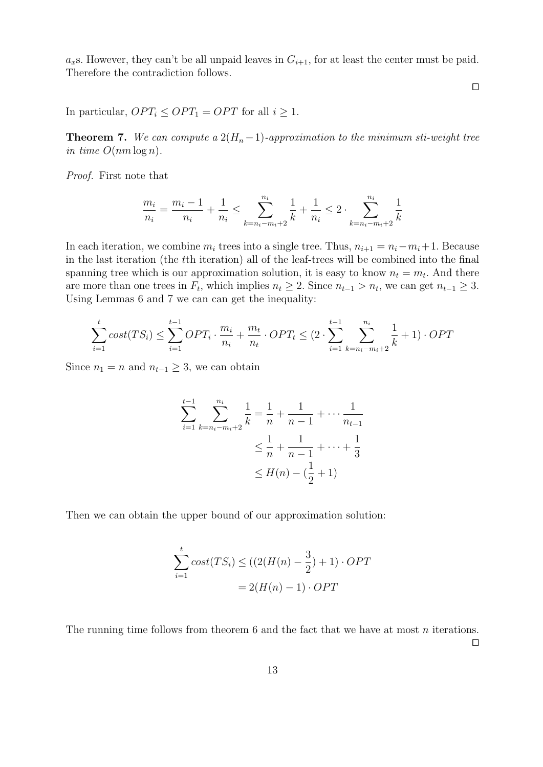$a_x$ s. However, they can't be all unpaid leaves in  $G_{i+1}$ , for at least the center must be paid. Therefore the contradiction follows.

In particular,  $OPT_i \leq OPT_1 = OPT$  for all  $i \geq 1$ .

**Theorem 7.** We can compute a  $2(H_n-1)$ -approximation to the minimum sti-weight tree in time  $O(nm \log n)$ .

Proof. First note that

$$
\frac{m_i}{n_i} = \frac{m_i - 1}{n_i} + \frac{1}{n_i} \le \sum_{k=n_i - m_i + 2}^{n_i} \frac{1}{k} + \frac{1}{n_i} \le 2 \cdot \sum_{k=n_i - m_i + 2}^{n_i} \frac{1}{k}
$$

In each iteration, we combine  $m_i$  trees into a single tree. Thus,  $n_{i+1} = n_i - m_i + 1$ . Because in the last iteration (the tth iteration) all of the leaf-trees will be combined into the final spanning tree which is our approximation solution, it is easy to know  $n_t = m_t$ . And there are more than one trees in  $F_t$ , which implies  $n_t \geq 2$ . Since  $n_{t-1} > n_t$ , we can get  $n_{t-1} \geq 3$ . Using Lemmas 6 and 7 we can can get the inequality:

$$
\sum_{i=1}^{t} cost(TS_i) \le \sum_{i=1}^{t-1} OPT_i \cdot \frac{m_i}{n_i} + \frac{m_t}{n_t} \cdot OPT_t \le (2 \cdot \sum_{i=1}^{t-1} \sum_{k=n_i-m_i+2}^{n_i} \frac{1}{k} + 1) \cdot OPT
$$

Since  $n_1 = n$  and  $n_{t-1} \geq 3$ , we can obtain

$$
\sum_{i=1}^{t-1} \sum_{k=n_i-m_i+2}^{n_i} \frac{1}{k} = \frac{1}{n} + \frac{1}{n-1} + \dots + \frac{1}{n_{t-1}}
$$
  

$$
\leq \frac{1}{n} + \frac{1}{n-1} + \dots + \frac{1}{3}
$$
  

$$
\leq H(n) - (\frac{1}{2} + 1)
$$

Then we can obtain the upper bound of our approximation solution:

$$
\sum_{i=1}^{t} cost(TS_i) \le ((2(H(n) - \frac{3}{2}) + 1) \cdot OPT
$$

$$
= 2(H(n) - 1) \cdot OPT
$$

The running time follows from theorem  $6$  and the fact that we have at most  $n$  iterations.

 $\Box$ 

 $\Box$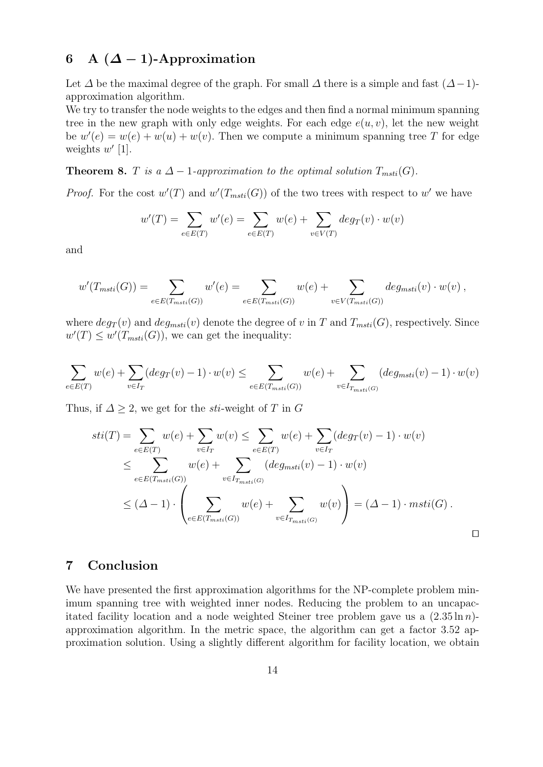# 6 A  $({\Delta}-1)$ -Approximation

Let  $\Delta$  be the maximal degree of the graph. For small  $\Delta$  there is a simple and fast  $(\Delta-1)$ approximation algorithm.

We try to transfer the node weights to the edges and then find a normal minimum spanning tree in the new graph with only edge weights. For each edge  $e(u, v)$ , let the new weight be  $w'(e) = w(e) + w(u) + w(v)$ . Then we compute a minimum spanning tree T for edge weights  $w'$  [1].

**Theorem 8.** T is a  $\Delta - 1$ -approximation to the optimal solution  $T_{msti}(G)$ .

*Proof.* For the cost  $w'(T)$  and  $w'(T_{msti}(G))$  of the two trees with respect to w' we have

$$
w'(T) = \sum_{e \in E(T)} w'(e) = \sum_{e \in E(T)} w(e) + \sum_{v \in V(T)} deg_T(v) \cdot w(v)
$$

and

$$
w'(T_{msti}(G)) = \sum_{e \in E(T_{msti}(G))} w'(e) = \sum_{e \in E(T_{msti}(G))} w(e) + \sum_{v \in V(T_{msti}(G))} deg_{msti}(v) \cdot w(v) ,
$$

where  $deg_T(v)$  and  $deg_{msti}(v)$  denote the degree of v in T and  $T_{msti}(G)$ , respectively. Since  $w'(T) \leq w'(T_{msti}(G))$ , we can get the inequality:

$$
\sum_{e \in E(T)} w(e) + \sum_{v \in I_T} (deg_T(v) - 1) \cdot w(v) \le \sum_{e \in E(T_{msti}(G))} w(e) + \sum_{v \in I_{T_{msti}(G)}} (deg_{msti}(v) - 1) \cdot w(v)
$$

Thus, if  $\Delta \geq 2$ , we get for the *sti*-weight of T in G

$$
sti(T) = \sum_{e \in E(T)} w(e) + \sum_{v \in I_T} w(v) \le \sum_{e \in E(T)} w(e) + \sum_{v \in I_T} (deg_T(v) - 1) \cdot w(v)
$$
  
\n
$$
\le \sum_{e \in E(T_{msti}(G))} w(e) + \sum_{v \in I_{T_{msti}(G)}} (deg_{msti}(v) - 1) \cdot w(v)
$$
  
\n
$$
\le (\Delta - 1) \cdot \left( \sum_{e \in E(T_{msti}(G))} w(e) + \sum_{v \in I_{T_{msti}(G)}} w(v) \right) = (\Delta - 1) \cdot msti(G) .
$$

# 7 Conclusion

We have presented the first approximation algorithms for the NP-complete problem minimum spanning tree with weighted inner nodes. Reducing the problem to an uncapacitated facility location and a node weighted Steiner tree problem gave us a  $(2.35 \ln n)$ approximation algorithm. In the metric space, the algorithm can get a factor 3.52 approximation solution. Using a slightly different algorithm for facility location, we obtain